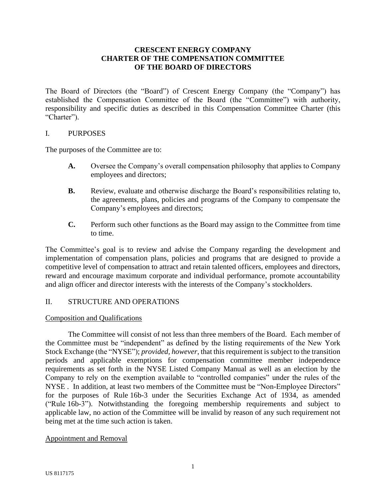# **CRESCENT ENERGY COMPANY CHARTER OF THE COMPENSATION COMMITTEE OF THE BOARD OF DIRECTORS**

The Board of Directors (the "Board") of Crescent Energy Company (the "Company") has established the Compensation Committee of the Board (the "Committee") with authority, responsibility and specific duties as described in this Compensation Committee Charter (this "Charter").

### I. PURPOSES

The purposes of the Committee are to:

- **A.** Oversee the Company's overall compensation philosophy that applies to Company employees and directors;
- **B.** Review, evaluate and otherwise discharge the Board's responsibilities relating to, the agreements, plans, policies and programs of the Company to compensate the Company's employees and directors;
- **C.** Perform such other functions as the Board may assign to the Committee from time to time.

The Committee's goal is to review and advise the Company regarding the development and implementation of compensation plans, policies and programs that are designed to provide a competitive level of compensation to attract and retain talented officers, employees and directors, reward and encourage maximum corporate and individual performance, promote accountability and align officer and director interests with the interests of the Company's stockholders.

# II. STRUCTURE AND OPERATIONS

## Composition and Qualifications

The Committee will consist of not less than three members of the Board. Each member of the Committee must be "independent" as defined by the listing requirements of the New York Stock Exchange (the "NYSE"); *provided, however*, that this requirement is subject to the transition periods and applicable exemptions for compensation committee member independence requirements as set forth in the NYSE Listed Company Manual as well as an election by the Company to rely on the exemption available to "controlled companies" under the rules of the NYSE . In addition, at least two members of the Committee must be "Non-Employee Directors" for the purposes of Rule 16b-3 under the Securities Exchange Act of 1934, as amended ("Rule 16b-3"). Notwithstanding the foregoing membership requirements and subject to applicable law, no action of the Committee will be invalid by reason of any such requirement not being met at the time such action is taken.

#### Appointment and Removal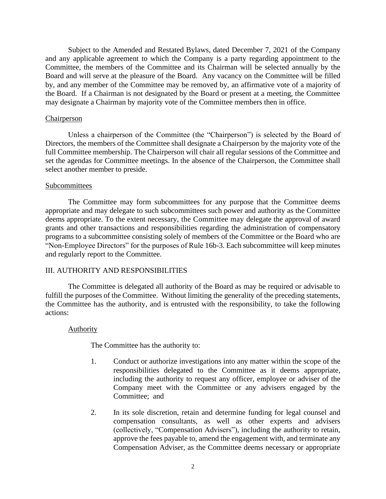Subject to the Amended and Restated Bylaws, dated December 7, 2021 of the Company and any applicable agreement to which the Company is a party regarding appointment to the Committee, the members of the Committee and its Chairman will be selected annually by the Board and will serve at the pleasure of the Board. Any vacancy on the Committee will be filled by, and any member of the Committee may be removed by, an affirmative vote of a majority of the Board. If a Chairman is not designated by the Board or present at a meeting, the Committee may designate a Chairman by majority vote of the Committee members then in office.

#### **Chairperson**

Unless a chairperson of the Committee (the "Chairperson") is selected by the Board of Directors, the members of the Committee shall designate a Chairperson by the majority vote of the full Committee membership. The Chairperson will chair all regular sessions of the Committee and set the agendas for Committee meetings. In the absence of the Chairperson, the Committee shall select another member to preside.

#### Subcommittees

The Committee may form subcommittees for any purpose that the Committee deems appropriate and may delegate to such subcommittees such power and authority as the Committee deems appropriate. To the extent necessary, the Committee may delegate the approval of award grants and other transactions and responsibilities regarding the administration of compensatory programs to a subcommittee consisting solely of members of the Committee or the Board who are "Non-Employee Directors" for the purposes of Rule 16b-3. Each subcommittee will keep minutes and regularly report to the Committee.

### III. AUTHORITY AND RESPONSIBILITIES

The Committee is delegated all authority of the Board as may be required or advisable to fulfill the purposes of the Committee. Without limiting the generality of the preceding statements, the Committee has the authority, and is entrusted with the responsibility, to take the following actions:

#### Authority

The Committee has the authority to:

- 1. Conduct or authorize investigations into any matter within the scope of the responsibilities delegated to the Committee as it deems appropriate, including the authority to request any officer, employee or adviser of the Company meet with the Committee or any advisers engaged by the Committee; and
- 2. In its sole discretion, retain and determine funding for legal counsel and compensation consultants, as well as other experts and advisers (collectively, "Compensation Advisers"), including the authority to retain, approve the fees payable to, amend the engagement with, and terminate any Compensation Adviser, as the Committee deems necessary or appropriate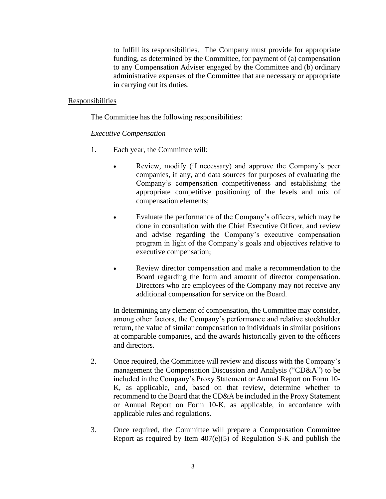to fulfill its responsibilities. The Company must provide for appropriate funding, as determined by the Committee, for payment of (a) compensation to any Compensation Adviser engaged by the Committee and (b) ordinary administrative expenses of the Committee that are necessary or appropriate in carrying out its duties.

## Responsibilities

The Committee has the following responsibilities:

# *Executive Compensation*

- 1. Each year, the Committee will:
	- Review, modify (if necessary) and approve the Company's peer companies, if any, and data sources for purposes of evaluating the Company's compensation competitiveness and establishing the appropriate competitive positioning of the levels and mix of compensation elements;
	- Evaluate the performance of the Company's officers, which may be done in consultation with the Chief Executive Officer, and review and advise regarding the Company's executive compensation program in light of the Company's goals and objectives relative to executive compensation;
	- Review director compensation and make a recommendation to the Board regarding the form and amount of director compensation. Directors who are employees of the Company may not receive any additional compensation for service on the Board.

In determining any element of compensation, the Committee may consider, among other factors, the Company's performance and relative stockholder return, the value of similar compensation to individuals in similar positions at comparable companies, and the awards historically given to the officers and directors.

- 2. Once required, the Committee will review and discuss with the Company's management the Compensation Discussion and Analysis ("CD&A") to be included in the Company's Proxy Statement or Annual Report on Form 10- K, as applicable, and, based on that review, determine whether to recommend to the Board that the CD&A be included in the Proxy Statement or Annual Report on Form 10-K, as applicable, in accordance with applicable rules and regulations.
- 3. Once required, the Committee will prepare a Compensation Committee Report as required by Item 407(e)(5) of Regulation S-K and publish the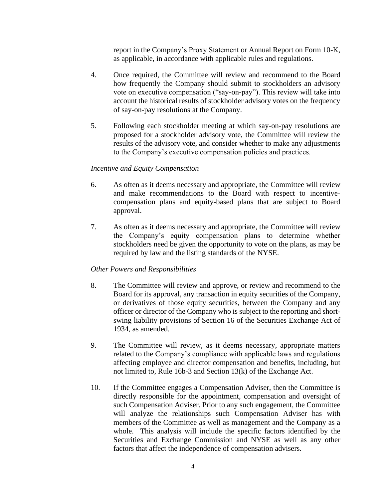report in the Company's Proxy Statement or Annual Report on Form 10-K, as applicable, in accordance with applicable rules and regulations.

- 4. Once required, the Committee will review and recommend to the Board how frequently the Company should submit to stockholders an advisory vote on executive compensation ("say-on-pay"). This review will take into account the historical results of stockholder advisory votes on the frequency of say-on-pay resolutions at the Company.
- 5. Following each stockholder meeting at which say-on-pay resolutions are proposed for a stockholder advisory vote, the Committee will review the results of the advisory vote, and consider whether to make any adjustments to the Company's executive compensation policies and practices.

### *Incentive and Equity Compensation*

- 6. As often as it deems necessary and appropriate, the Committee will review and make recommendations to the Board with respect to incentivecompensation plans and equity-based plans that are subject to Board approval.
- 7. As often as it deems necessary and appropriate, the Committee will review the Company's equity compensation plans to determine whether stockholders need be given the opportunity to vote on the plans, as may be required by law and the listing standards of the NYSE.

# *Other Powers and Responsibilities*

- 8. The Committee will review and approve, or review and recommend to the Board for its approval, any transaction in equity securities of the Company, or derivatives of those equity securities, between the Company and any officer or director of the Company who is subject to the reporting and shortswing liability provisions of Section 16 of the Securities Exchange Act of 1934, as amended.
- 9. The Committee will review, as it deems necessary, appropriate matters related to the Company's compliance with applicable laws and regulations affecting employee and director compensation and benefits, including, but not limited to, Rule 16b-3 and Section 13(k) of the Exchange Act.
- 10. If the Committee engages a Compensation Adviser, then the Committee is directly responsible for the appointment, compensation and oversight of such Compensation Adviser. Prior to any such engagement, the Committee will analyze the relationships such Compensation Adviser has with members of the Committee as well as management and the Company as a whole. This analysis will include the specific factors identified by the Securities and Exchange Commission and NYSE as well as any other factors that affect the independence of compensation advisers.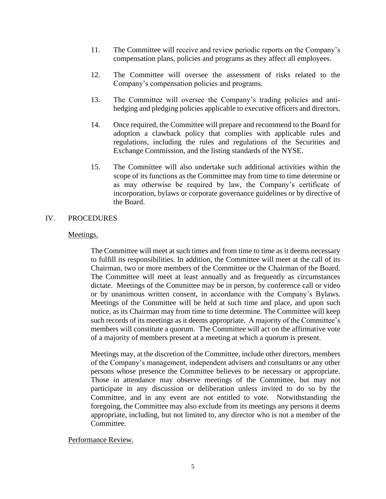- 11. The Committee will receive and review periodic reports on the Company's compensation plans, policies and programs as they affect all employees.
- 12. The Committee will oversee the assessment of risks related to the Company's compensation policies and programs.
- 13. The Committee will oversee the Company's trading policies and antihedging and pledging policies applicable to executive officers and directors.
- 14. Once required, the Committee will prepare and recommend to the Board for adoption a clawback policy that complies with applicable rules and regulations, including the rules and regulations of the Securities and Exchange Commission, and the listing standards of the NYSE.
- 15. The Committee will also undertake such additional activities within the scope of its functions as the Committee may from time to time determine or as may otherwise be required by law, the Company's certificate of incorporation, bylaws or corporate governance guidelines or by directive of the Board.

## IV. PROCEDURES

### Meetings.

The Committee will meet at such times and from time to time as it deems necessary to fulfill its responsibilities. In addition, the Committee will meet at the call of its Chairman, two or more members of the Committee or the Chairman of the Board. The Committee will meet at least annually and as frequently as circumstances dictate. Meetings of the Committee may be in person, by conference call or video or by unanimous written consent, in accordance with the Company's Bylaws. Meetings of the Committee will be held at such time and place, and upon such notice, as its Chairman may from time to time determine. The Committee will keep such records of its meetings as it deems appropriate. A majority of the Committee's members will constitute a quorum. The Committee will act on the affirmative vote of a majority of members present at a meeting at which a quorum is present.

Meetings may, at the discretion of the Committee, include other directors, members of the Company's management, independent advisers and consultants or any other persons whose presence the Committee believes to be necessary or appropriate. Those in attendance may observe meetings of the Committee, but may not participate in any discussion or deliberation unless invited to do so by the Committee, and in any event are not entitled to vote. Notwithstanding the foregoing, the Committee may also exclude from its meetings any persons it deems appropriate, including, but not limited to, any director who is not a member of the Committee.

# Performance Review.